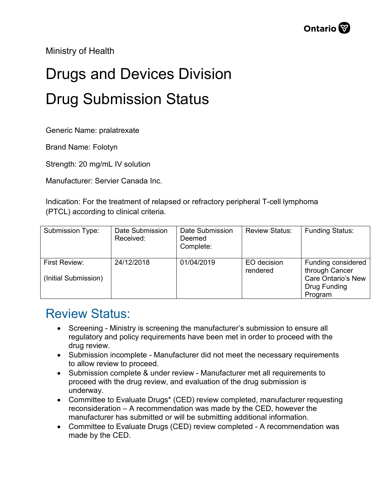Ministry of Health

## Drugs and Devices Division Drug Submission Status

Generic Name: pralatrexate

Brand Name: Folotyn

Strength: 20 mg/mL IV solution

Manufacturer: Servier Canada Inc.

Indication: For the treatment of relapsed or refractory peripheral T-cell lymphoma (PTCL) according to clinical criteria.

| Submission Type:                      | Date Submission<br>Received: | Date Submission<br>Deemed<br>Complete: | <b>Review Status:</b>   | <b>Funding Status:</b>                                                                       |
|---------------------------------------|------------------------------|----------------------------------------|-------------------------|----------------------------------------------------------------------------------------------|
| First Review:<br>(Initial Submission) | 24/12/2018                   | 01/04/2019                             | EO decision<br>rendered | Funding considered<br>through Cancer<br><b>Care Ontario's New</b><br>Drug Funding<br>Program |

## Review Status:

- Screening Ministry is screening the manufacturer's submission to ensure all regulatory and policy requirements have been met in order to proceed with the drug review.
- Submission incomplete Manufacturer did not meet the necessary requirements to allow review to proceed.
- Submission complete & under review Manufacturer met all requirements to proceed with the drug review, and evaluation of the drug submission is underway.
- Committee to Evaluate Drugs\* (CED) review completed, manufacturer requesting reconsideration – A recommendation was made by the CED, however the manufacturer has submitted or will be submitting additional information.
- Committee to Evaluate Drugs (CED) review completed A recommendation was made by the CED.